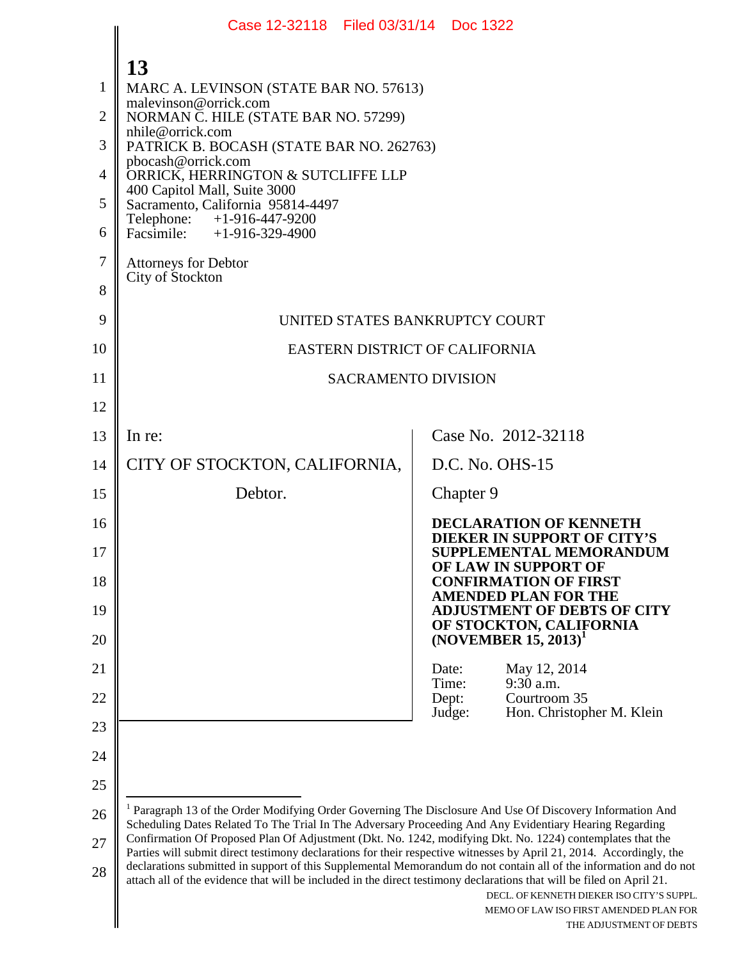|                                                           | Case 12-32118 Filed 03/31/14 Doc 1322                                                                                                                                                                                                                                                                                                                                                                                                                                                                                                                                                               |                                                                                                                        |  |
|-----------------------------------------------------------|-----------------------------------------------------------------------------------------------------------------------------------------------------------------------------------------------------------------------------------------------------------------------------------------------------------------------------------------------------------------------------------------------------------------------------------------------------------------------------------------------------------------------------------------------------------------------------------------------------|------------------------------------------------------------------------------------------------------------------------|--|
| 1<br>$\overline{2}$<br>3<br>$\overline{4}$<br>5<br>6<br>7 | 13<br>MARC A. LEVINSON (STATE BAR NO. 57613)<br>malevinson@orrick.com<br>NORMAN C. HILE (STATE BAR NO. 57299)<br>nhile@orrick.com<br>PATRICK B. BOCASH (STATE BAR NO. 262763)<br>pbocash@orrick.com<br>ORRICK, HERRINGTON & SUTCLIFFE LLP<br>400 Capitol Mall, Suite 3000<br>Sacramento, California 95814-4497<br>Telephone: +1-916-447-9200<br>Facsimile: $+1-916-329-4900$<br><b>Attorneys for Debtor</b>                                                                                                                                                                                         |                                                                                                                        |  |
| 8                                                         | City of Stockton                                                                                                                                                                                                                                                                                                                                                                                                                                                                                                                                                                                    |                                                                                                                        |  |
| 9                                                         | UNITED STATES BANKRUPTCY COURT                                                                                                                                                                                                                                                                                                                                                                                                                                                                                                                                                                      |                                                                                                                        |  |
| 10                                                        | EASTERN DISTRICT OF CALIFORNIA                                                                                                                                                                                                                                                                                                                                                                                                                                                                                                                                                                      |                                                                                                                        |  |
| 11                                                        | <b>SACRAMENTO DIVISION</b>                                                                                                                                                                                                                                                                                                                                                                                                                                                                                                                                                                          |                                                                                                                        |  |
| 12                                                        |                                                                                                                                                                                                                                                                                                                                                                                                                                                                                                                                                                                                     |                                                                                                                        |  |
| 13                                                        | In re:                                                                                                                                                                                                                                                                                                                                                                                                                                                                                                                                                                                              | Case No. 2012-32118                                                                                                    |  |
| 14                                                        | CITY OF STOCKTON, CALIFORNIA,                                                                                                                                                                                                                                                                                                                                                                                                                                                                                                                                                                       | D.C. No. OHS-15                                                                                                        |  |
| 15                                                        | Debtor.                                                                                                                                                                                                                                                                                                                                                                                                                                                                                                                                                                                             | Chapter 9                                                                                                              |  |
| 16<br>17                                                  |                                                                                                                                                                                                                                                                                                                                                                                                                                                                                                                                                                                                     | <b>DECLARATION OF KENNETH</b><br><b>DIEKER IN SUPPORT OF CITY'S</b><br>SUPPLEMENTAL MEMORANDUM<br>OF LAW IN SUPPORT OF |  |
| 18                                                        |                                                                                                                                                                                                                                                                                                                                                                                                                                                                                                                                                                                                     | <b>CONFIRMATION OF FIRST</b><br><b>AMENDED PLAN FOR THE</b><br><b>ADJUSTMENT OF DEBTS OF CITY</b>                      |  |
| 19<br>20                                                  |                                                                                                                                                                                                                                                                                                                                                                                                                                                                                                                                                                                                     | OF STOCKTON, CALIFORNIA<br>$(NOVEMBER 15, 2013)^T$                                                                     |  |
| 21                                                        |                                                                                                                                                                                                                                                                                                                                                                                                                                                                                                                                                                                                     | May 12, 2014<br>Date:                                                                                                  |  |
| 22                                                        |                                                                                                                                                                                                                                                                                                                                                                                                                                                                                                                                                                                                     | 9:30 a.m.<br>Time:<br>Dept:<br>Courtroom 35                                                                            |  |
| 23                                                        |                                                                                                                                                                                                                                                                                                                                                                                                                                                                                                                                                                                                     | Judge:<br>Hon. Christopher M. Klein                                                                                    |  |
| 24                                                        |                                                                                                                                                                                                                                                                                                                                                                                                                                                                                                                                                                                                     |                                                                                                                        |  |
| 25                                                        |                                                                                                                                                                                                                                                                                                                                                                                                                                                                                                                                                                                                     |                                                                                                                        |  |
| 26                                                        | <sup>1</sup> Paragraph 13 of the Order Modifying Order Governing The Disclosure And Use Of Discovery Information And<br>Scheduling Dates Related To The Trial In The Adversary Proceeding And Any Evidentiary Hearing Regarding                                                                                                                                                                                                                                                                                                                                                                     |                                                                                                                        |  |
| 27<br>28                                                  | Confirmation Of Proposed Plan Of Adjustment (Dkt. No. 1242, modifying Dkt. No. 1224) contemplates that the<br>Parties will submit direct testimony declarations for their respective witnesses by April 21, 2014. Accordingly, the<br>declarations submitted in support of this Supplemental Memorandum do not contain all of the information and do not<br>attach all of the evidence that will be included in the direct testimony declarations that will be filed on April 21.<br>DECL. OF KENNETH DIEKER ISO CITY'S SUPPL.<br>MEMO OF LAW ISO FIRST AMENDED PLAN FOR<br>THE ADJUSTMENT OF DEBTS |                                                                                                                        |  |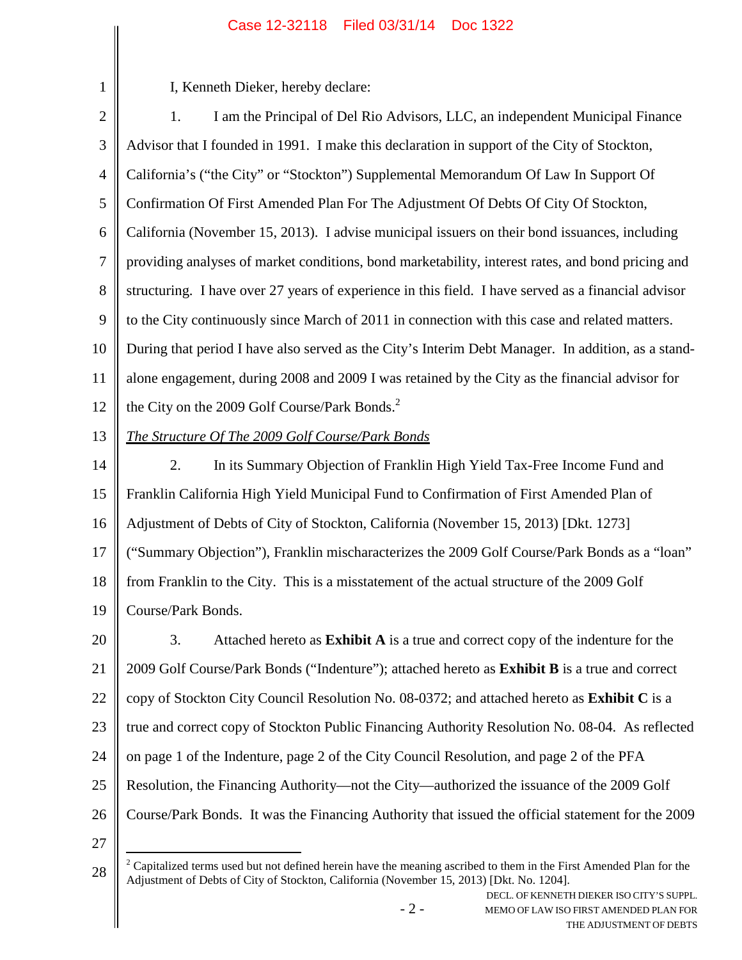| $\mathbf{1}$   | I, Kenneth Dieker, hereby declare:                                                                                                                                                                            |  |
|----------------|---------------------------------------------------------------------------------------------------------------------------------------------------------------------------------------------------------------|--|
| $\overline{2}$ | I am the Principal of Del Rio Advisors, LLC, an independent Municipal Finance<br>1.                                                                                                                           |  |
| 3              | Advisor that I founded in 1991. I make this declaration in support of the City of Stockton,                                                                                                                   |  |
| $\overline{4}$ | California's ("the City" or "Stockton") Supplemental Memorandum Of Law In Support Of                                                                                                                          |  |
| 5              | Confirmation Of First Amended Plan For The Adjustment Of Debts Of City Of Stockton,                                                                                                                           |  |
| 6              | California (November 15, 2013). I advise municipal issuers on their bond issuances, including                                                                                                                 |  |
| $\tau$         | providing analyses of market conditions, bond marketability, interest rates, and bond pricing and                                                                                                             |  |
| 8              | structuring. I have over 27 years of experience in this field. I have served as a financial advisor                                                                                                           |  |
| 9              | to the City continuously since March of 2011 in connection with this case and related matters.                                                                                                                |  |
| 10             | During that period I have also served as the City's Interim Debt Manager. In addition, as a stand-                                                                                                            |  |
| 11             | alone engagement, during 2008 and 2009 I was retained by the City as the financial advisor for                                                                                                                |  |
| 12             | the City on the 2009 Golf Course/Park Bonds. <sup>2</sup>                                                                                                                                                     |  |
| 13             | The Structure Of The 2009 Golf Course/Park Bonds                                                                                                                                                              |  |
| 14             | In its Summary Objection of Franklin High Yield Tax-Free Income Fund and<br>2.                                                                                                                                |  |
| 15             | Franklin California High Yield Municipal Fund to Confirmation of First Amended Plan of                                                                                                                        |  |
| 16             | Adjustment of Debts of City of Stockton, California (November 15, 2013) [Dkt. 1273]                                                                                                                           |  |
| 17             | ("Summary Objection"), Franklin mischaracterizes the 2009 Golf Course/Park Bonds as a "loan"                                                                                                                  |  |
| 18             | from Franklin to the City. This is a misstatement of the actual structure of the 2009 Golf                                                                                                                    |  |
| 19             | Course/Park Bonds.                                                                                                                                                                                            |  |
| 20             | 3.<br>Attached hereto as <b>Exhibit A</b> is a true and correct copy of the indenture for the                                                                                                                 |  |
| 21             | 2009 Golf Course/Park Bonds ("Indenture"); attached hereto as Exhibit B is a true and correct                                                                                                                 |  |
| 22             | copy of Stockton City Council Resolution No. 08-0372; and attached hereto as <b>Exhibit C</b> is a                                                                                                            |  |
| 23             | true and correct copy of Stockton Public Financing Authority Resolution No. 08-04. As reflected                                                                                                               |  |
| 24             | on page 1 of the Indenture, page 2 of the City Council Resolution, and page 2 of the PFA                                                                                                                      |  |
| 25             | Resolution, the Financing Authority—not the City—authorized the issuance of the 2009 Golf                                                                                                                     |  |
| 26             | Course/Park Bonds. It was the Financing Authority that issued the official statement for the 2009                                                                                                             |  |
| 27             |                                                                                                                                                                                                               |  |
| 28             | Capitalized terms used but not defined herein have the meaning ascribed to them in the First Amended Plan for the<br>Adjustment of Debts of City of Stockton, California (November 15, 2013) [Dkt. No. 1204]. |  |

- 2 -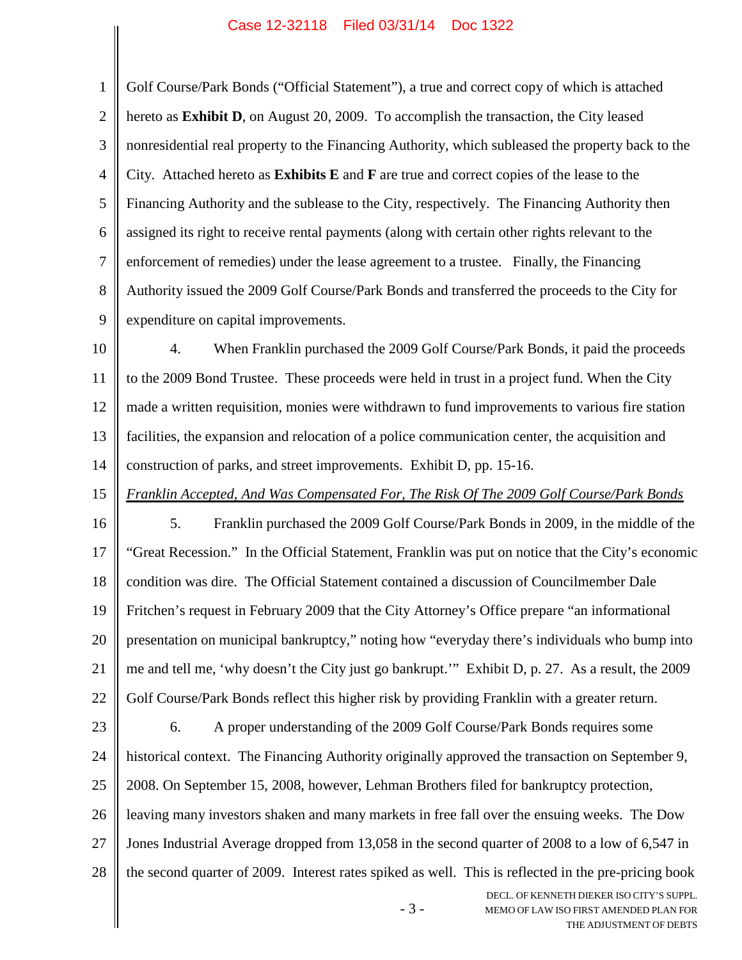- 3 - DECL. OF KENNETH DIEKER ISO CITY'S SUPPL. MEMO OF LAW ISO FIRST AMENDED PLAN FOR 1 2 3 4 5 6 7 8 9 10 11 12 13 14 15 16 17 18 19 20 21 22 23 24 25 26 27 28 Golf Course/Park Bonds ("Official Statement"), a true and correct copy of which is attached hereto as **Exhibit D**, on August 20, 2009. To accomplish the transaction, the City leased nonresidential real property to the Financing Authority, which subleased the property back to the City. Attached hereto as **Exhibits E** and **F** are true and correct copies of the lease to the Financing Authority and the sublease to the City, respectively. The Financing Authority then assigned its right to receive rental payments (along with certain other rights relevant to the enforcement of remedies) under the lease agreement to a trustee. Finally, the Financing Authority issued the 2009 Golf Course/Park Bonds and transferred the proceeds to the City for expenditure on capital improvements. 4. When Franklin purchased the 2009 Golf Course/Park Bonds, it paid the proceeds to the 2009 Bond Trustee. These proceeds were held in trust in a project fund. When the City made a written requisition, monies were withdrawn to fund improvements to various fire station facilities, the expansion and relocation of a police communication center, the acquisition and construction of parks, and street improvements. Exhibit D, pp. 15-16. *Franklin Accepted, And Was Compensated For, The Risk Of The 2009 Golf Course/Park Bonds* 5. Franklin purchased the 2009 Golf Course/Park Bonds in 2009, in the middle of the "Great Recession." In the Official Statement, Franklin was put on notice that the City's economic condition was dire. The Official Statement contained a discussion of Councilmember Dale Fritchen's request in February 2009 that the City Attorney's Office prepare "an informational presentation on municipal bankruptcy," noting how "everyday there's individuals who bump into me and tell me, 'why doesn't the City just go bankrupt.'" Exhibit D, p. 27. As a result, the 2009 Golf Course/Park Bonds reflect this higher risk by providing Franklin with a greater return. 6. A proper understanding of the 2009 Golf Course/Park Bonds requires some historical context. The Financing Authority originally approved the transaction on September 9, 2008. On September 15, 2008, however, Lehman Brothers filed for bankruptcy protection, leaving many investors shaken and many markets in free fall over the ensuing weeks. The Dow Jones Industrial Average dropped from 13,058 in the second quarter of 2008 to a low of 6,547 in the second quarter of 2009. Interest rates spiked as well. This is reflected in the pre-pricing book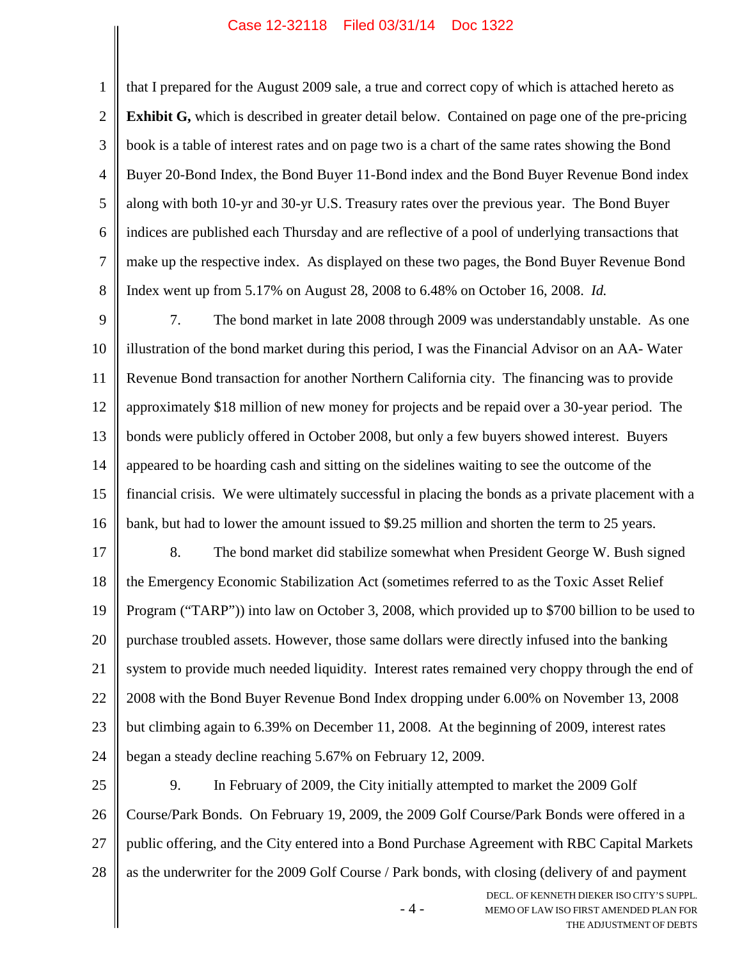1 2 3 4 5 6 7 that I prepared for the August 2009 sale, a true and correct copy of which is attached hereto as **Exhibit G,** which is described in greater detail below. Contained on page one of the pre-pricing book is a table of interest rates and on page two is a chart of the same rates showing the Bond Buyer 20-Bond Index, the Bond Buyer 11-Bond index and the Bond Buyer Revenue Bond index along with both 10-yr and 30-yr U.S. Treasury rates over the previous year. The Bond Buyer indices are published each Thursday and are reflective of a pool of underlying transactions that make up the respective index. As displayed on these two pages, the Bond Buyer Revenue Bond

Index went up from 5.17% on August 28, 2008 to 6.48% on October 16, 2008. *Id.*

8

9 10 11 12 13 14 15 16 7. The bond market in late 2008 through 2009 was understandably unstable. As one illustration of the bond market during this period, I was the Financial Advisor on an AA- Water Revenue Bond transaction for another Northern California city. The financing was to provide approximately \$18 million of new money for projects and be repaid over a 30-year period. The bonds were publicly offered in October 2008, but only a few buyers showed interest. Buyers appeared to be hoarding cash and sitting on the sidelines waiting to see the outcome of the financial crisis. We were ultimately successful in placing the bonds as a private placement with a bank, but had to lower the amount issued to \$9.25 million and shorten the term to 25 years.

17 18 19 20 21 22 23 24 8. The bond market did stabilize somewhat when President George W. Bush signed the Emergency Economic Stabilization Act (sometimes referred to as the Toxic Asset Relief Program ("TARP")) into law on October 3, 2008, which provided up to \$700 billion to be used to purchase troubled assets. However, those same dollars were directly infused into the banking system to provide much needed liquidity. Interest rates remained very choppy through the end of 2008 with the Bond Buyer Revenue Bond Index dropping under 6.00% on November 13, 2008 but climbing again to 6.39% on December 11, 2008. At the beginning of 2009, interest rates began a steady decline reaching 5.67% on February 12, 2009.

25 26 27 28 9. In February of 2009, the City initially attempted to market the 2009 Golf Course/Park Bonds. On February 19, 2009, the 2009 Golf Course/Park Bonds were offered in a public offering, and the City entered into a Bond Purchase Agreement with RBC Capital Markets as the underwriter for the 2009 Golf Course / Park bonds, with closing (delivery of and payment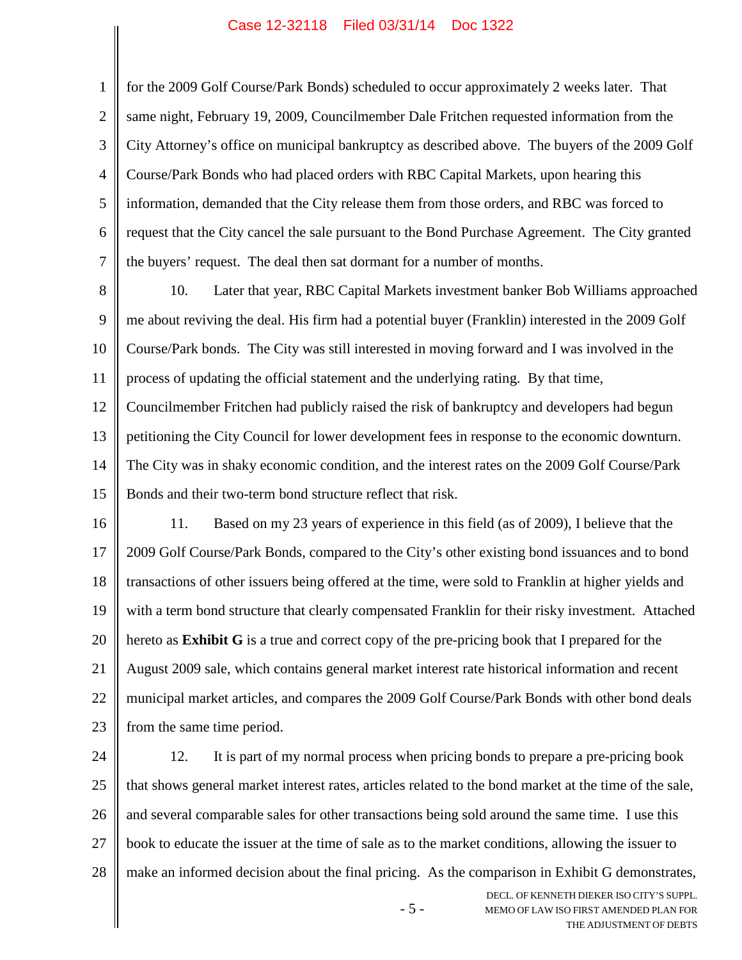1 2 3 4 5 6 7 for the 2009 Golf Course/Park Bonds) scheduled to occur approximately 2 weeks later. That same night, February 19, 2009, Councilmember Dale Fritchen requested information from the City Attorney's office on municipal bankruptcy as described above. The buyers of the 2009 Golf Course/Park Bonds who had placed orders with RBC Capital Markets, upon hearing this information, demanded that the City release them from those orders, and RBC was forced to request that the City cancel the sale pursuant to the Bond Purchase Agreement. The City granted the buyers' request. The deal then sat dormant for a number of months.

8 9 10 11 12 13 10. Later that year, RBC Capital Markets investment banker Bob Williams approached me about reviving the deal. His firm had a potential buyer (Franklin) interested in the 2009 Golf Course/Park bonds. The City was still interested in moving forward and I was involved in the process of updating the official statement and the underlying rating. By that time, Councilmember Fritchen had publicly raised the risk of bankruptcy and developers had begun petitioning the City Council for lower development fees in response to the economic downturn.

14 15 The City was in shaky economic condition, and the interest rates on the 2009 Golf Course/Park Bonds and their two-term bond structure reflect that risk.

16 17 18 19 20 21 22 23 11. Based on my 23 years of experience in this field (as of 2009), I believe that the 2009 Golf Course/Park Bonds, compared to the City's other existing bond issuances and to bond transactions of other issuers being offered at the time, were sold to Franklin at higher yields and with a term bond structure that clearly compensated Franklin for their risky investment. Attached hereto as **Exhibit G** is a true and correct copy of the pre-pricing book that I prepared for the August 2009 sale, which contains general market interest rate historical information and recent municipal market articles, and compares the 2009 Golf Course/Park Bonds with other bond deals from the same time period.

24 25 26 27 28 12. It is part of my normal process when pricing bonds to prepare a pre-pricing book that shows general market interest rates, articles related to the bond market at the time of the sale, and several comparable sales for other transactions being sold around the same time. I use this book to educate the issuer at the time of sale as to the market conditions, allowing the issuer to make an informed decision about the final pricing. As the comparison in Exhibit G demonstrates,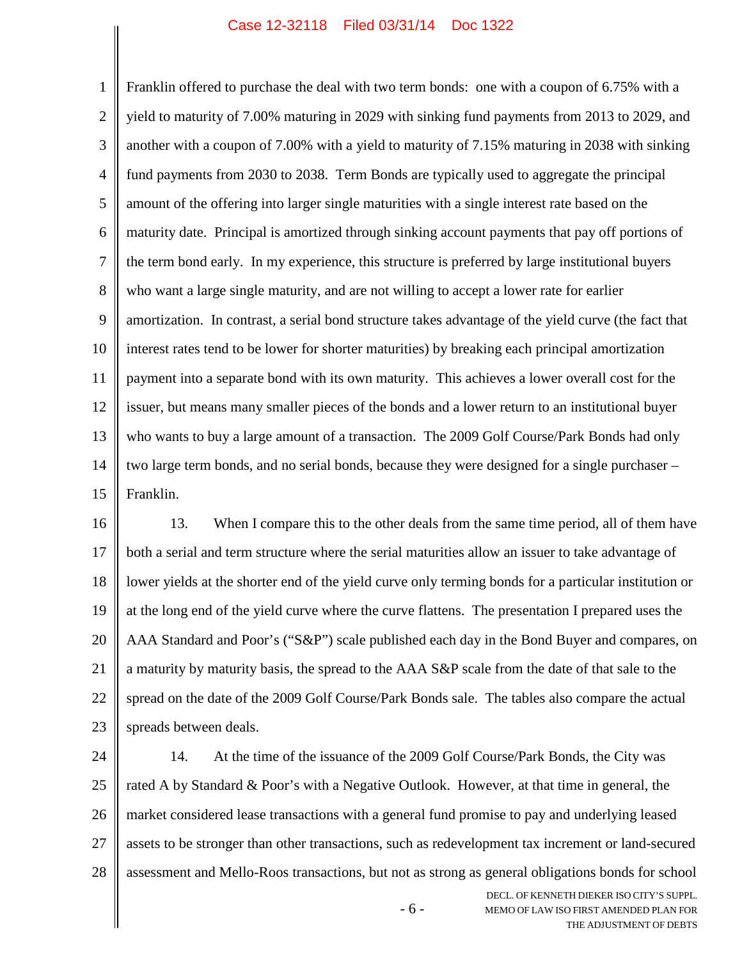1 2 3 4 5 6 7 8 9 10 11 12 13 14 15 Franklin offered to purchase the deal with two term bonds: one with a coupon of 6.75% with a yield to maturity of 7.00% maturing in 2029 with sinking fund payments from 2013 to 2029, and another with a coupon of 7.00% with a yield to maturity of 7.15% maturing in 2038 with sinking fund payments from 2030 to 2038. Term Bonds are typically used to aggregate the principal amount of the offering into larger single maturities with a single interest rate based on the maturity date. Principal is amortized through sinking account payments that pay off portions of the term bond early. In my experience, this structure is preferred by large institutional buyers who want a large single maturity, and are not willing to accept a lower rate for earlier amortization. In contrast, a serial bond structure takes advantage of the yield curve (the fact that interest rates tend to be lower for shorter maturities) by breaking each principal amortization payment into a separate bond with its own maturity. This achieves a lower overall cost for the issuer, but means many smaller pieces of the bonds and a lower return to an institutional buyer who wants to buy a large amount of a transaction. The 2009 Golf Course/Park Bonds had only two large term bonds, and no serial bonds, because they were designed for a single purchaser – Franklin.

16 17 18 19 20 21 22 23 13. When I compare this to the other deals from the same time period, all of them have both a serial and term structure where the serial maturities allow an issuer to take advantage of lower yields at the shorter end of the yield curve only terming bonds for a particular institution or at the long end of the yield curve where the curve flattens. The presentation I prepared uses the AAA Standard and Poor's ("S&P") scale published each day in the Bond Buyer and compares, on a maturity by maturity basis, the spread to the AAA S&P scale from the date of that sale to the spread on the date of the 2009 Golf Course/Park Bonds sale. The tables also compare the actual spreads between deals.

24 25 26 27 28 14. At the time of the issuance of the 2009 Golf Course/Park Bonds, the City was rated A by Standard & Poor's with a Negative Outlook. However, at that time in general, the market considered lease transactions with a general fund promise to pay and underlying leased assets to be stronger than other transactions, such as redevelopment tax increment or land-secured assessment and Mello-Roos transactions, but not as strong as general obligations bonds for school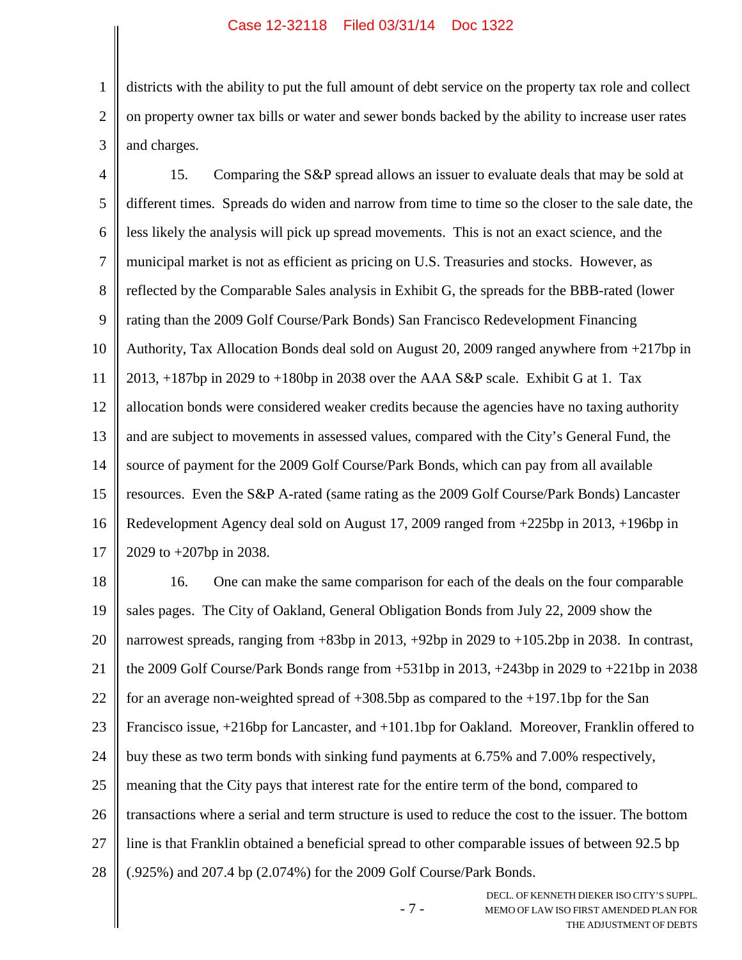1 2 3 districts with the ability to put the full amount of debt service on the property tax role and collect on property owner tax bills or water and sewer bonds backed by the ability to increase user rates and charges.

4 5 6 7 8 9 10 11 12 13 14 15 16 17 15. Comparing the S&P spread allows an issuer to evaluate deals that may be sold at different times. Spreads do widen and narrow from time to time so the closer to the sale date, the less likely the analysis will pick up spread movements. This is not an exact science, and the municipal market is not as efficient as pricing on U.S. Treasuries and stocks. However, as reflected by the Comparable Sales analysis in Exhibit G, the spreads for the BBB-rated (lower rating than the 2009 Golf Course/Park Bonds) San Francisco Redevelopment Financing Authority, Tax Allocation Bonds deal sold on August 20, 2009 ranged anywhere from +217bp in 2013, +187bp in 2029 to +180bp in 2038 over the AAA S&P scale. Exhibit G at 1. Tax allocation bonds were considered weaker credits because the agencies have no taxing authority and are subject to movements in assessed values, compared with the City's General Fund, the source of payment for the 2009 Golf Course/Park Bonds, which can pay from all available resources. Even the S&P A-rated (same rating as the 2009 Golf Course/Park Bonds) Lancaster Redevelopment Agency deal sold on August 17, 2009 ranged from +225bp in 2013, +196bp in 2029 to +207bp in 2038.

18 19 20 21 22 23 24 25 26 27 28 16. One can make the same comparison for each of the deals on the four comparable sales pages. The City of Oakland, General Obligation Bonds from July 22, 2009 show the narrowest spreads, ranging from +83bp in 2013, +92bp in 2029 to +105.2bp in 2038. In contrast, the 2009 Golf Course/Park Bonds range from +531bp in 2013, +243bp in 2029 to +221bp in 2038 for an average non-weighted spread of  $+308.5$ bp as compared to the  $+197.1$ bp for the San Francisco issue, +216bp for Lancaster, and +101.1bp for Oakland. Moreover, Franklin offered to buy these as two term bonds with sinking fund payments at 6.75% and 7.00% respectively, meaning that the City pays that interest rate for the entire term of the bond, compared to transactions where a serial and term structure is used to reduce the cost to the issuer. The bottom line is that Franklin obtained a beneficial spread to other comparable issues of between 92.5 bp (.925%) and 207.4 bp (2.074%) for the 2009 Golf Course/Park Bonds.

- 7 -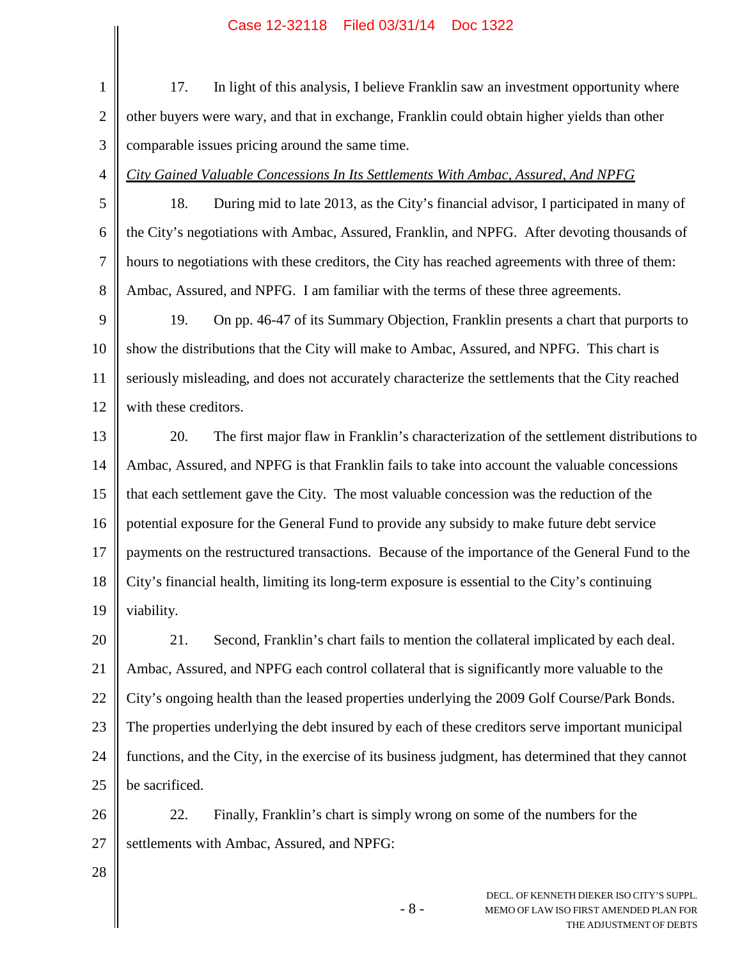|                | Case IZ-32118 – Filed 03/31/14 – DOC 1322                                                                               |  |
|----------------|-------------------------------------------------------------------------------------------------------------------------|--|
| $\mathbf{1}$   | In light of this analysis, I believe Franklin saw an investment opportunity where<br>17.                                |  |
| $\overline{2}$ | other buyers were wary, and that in exchange, Franklin could obtain higher yields than other                            |  |
| 3              | comparable issues pricing around the same time.                                                                         |  |
| $\overline{4}$ | City Gained Valuable Concessions In Its Settlements With Ambac, Assured, And NPFG                                       |  |
| 5              | During mid to late 2013, as the City's financial advisor, I participated in many of<br>18.                              |  |
| 6              | the City's negotiations with Ambac, Assured, Franklin, and NPFG. After devoting thousands of                            |  |
| 7              | hours to negotiations with these creditors, the City has reached agreements with three of them:                         |  |
| 8              | Ambac, Assured, and NPFG. I am familiar with the terms of these three agreements.                                       |  |
| 9              | On pp. 46-47 of its Summary Objection, Franklin presents a chart that purports to<br>19.                                |  |
| 10             | show the distributions that the City will make to Ambac, Assured, and NPFG. This chart is                               |  |
| 11             | seriously misleading, and does not accurately characterize the settlements that the City reached                        |  |
| 12             | with these creditors.                                                                                                   |  |
| 13             | The first major flaw in Franklin's characterization of the settlement distributions to<br>20.                           |  |
| 14             | Ambac, Assured, and NPFG is that Franklin fails to take into account the valuable concessions                           |  |
| 15             | that each settlement gave the City. The most valuable concession was the reduction of the                               |  |
| 16             | potential exposure for the General Fund to provide any subsidy to make future debt service                              |  |
| 17             | payments on the restructured transactions. Because of the importance of the General Fund to the                         |  |
| 18             | City's financial health, limiting its long-term exposure is essential to the City's continuing                          |  |
| 19             | viability.                                                                                                              |  |
| 20             | 21.<br>Second, Franklin's chart fails to mention the collateral implicated by each deal.                                |  |
| 21             | Ambac, Assured, and NPFG each control collateral that is significantly more valuable to the                             |  |
| 22             | City's ongoing health than the leased properties underlying the 2009 Golf Course/Park Bonds.                            |  |
| 23             | The properties underlying the debt insured by each of these creditors serve important municipal                         |  |
| 24             | functions, and the City, in the exercise of its business judgment, has determined that they cannot                      |  |
| 25             | be sacrificed.                                                                                                          |  |
| 26             | 22.<br>Finally, Franklin's chart is simply wrong on some of the numbers for the                                         |  |
| 27             | settlements with Ambac, Assured, and NPFG:                                                                              |  |
| 28             |                                                                                                                         |  |
|                | DECL. OF KENNETH DIEKER ISO CITY'S SUPPL.<br>$-8-$<br>MEMO OF LAW ISO FIRST AMENDED PLAN FOR<br>THE ADJUSTMENT OF DEBTS |  |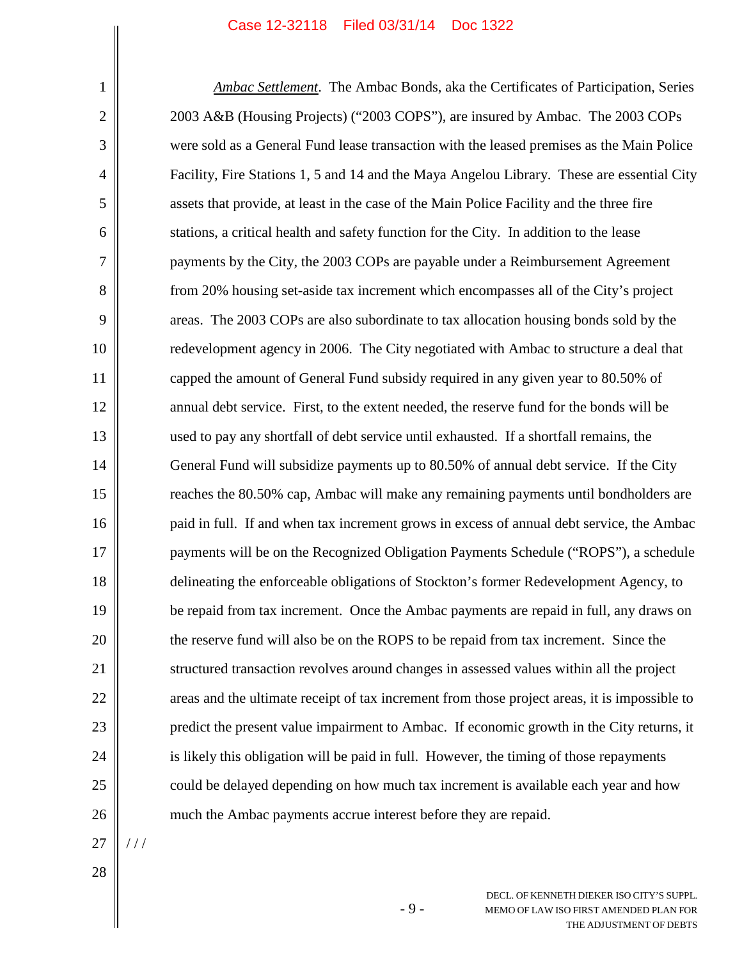*Ambac Settlement*. The Ambac Bonds, aka the Certificates of Participation, Series 2003 A&B (Housing Projects) ("2003 COPS"), are insured by Ambac. The 2003 COPs were sold as a General Fund lease transaction with the leased premises as the Main Police Facility, Fire Stations 1, 5 and 14 and the Maya Angelou Library. These are essential City assets that provide, at least in the case of the Main Police Facility and the three fire stations, a critical health and safety function for the City. In addition to the lease payments by the City, the 2003 COPs are payable under a Reimbursement Agreement from 20% housing set-aside tax increment which encompasses all of the City's project areas. The 2003 COPs are also subordinate to tax allocation housing bonds sold by the redevelopment agency in 2006. The City negotiated with Ambac to structure a deal that capped the amount of General Fund subsidy required in any given year to 80.50% of annual debt service. First, to the extent needed, the reserve fund for the bonds will be used to pay any shortfall of debt service until exhausted. If a shortfall remains, the General Fund will subsidize payments up to 80.50% of annual debt service. If the City reaches the 80.50% cap, Ambac will make any remaining payments until bondholders are paid in full. If and when tax increment grows in excess of annual debt service, the Ambac payments will be on the Recognized Obligation Payments Schedule ("ROPS"), a schedule delineating the enforceable obligations of Stockton's former Redevelopment Agency, to be repaid from tax increment. Once the Ambac payments are repaid in full, any draws on the reserve fund will also be on the ROPS to be repaid from tax increment. Since the structured transaction revolves around changes in assessed values within all the project areas and the ultimate receipt of tax increment from those project areas, it is impossible to predict the present value impairment to Ambac. If economic growth in the City returns, it is likely this obligation will be paid in full. However, the timing of those repayments could be delayed depending on how much tax increment is available each year and how much the Ambac payments accrue interest before they are repaid.

27

/ / /

28

1

2

3

4

5

6

7

8

9

10

11

12

13

14

15

16

17

18

19

20

21

22

23

24

25

26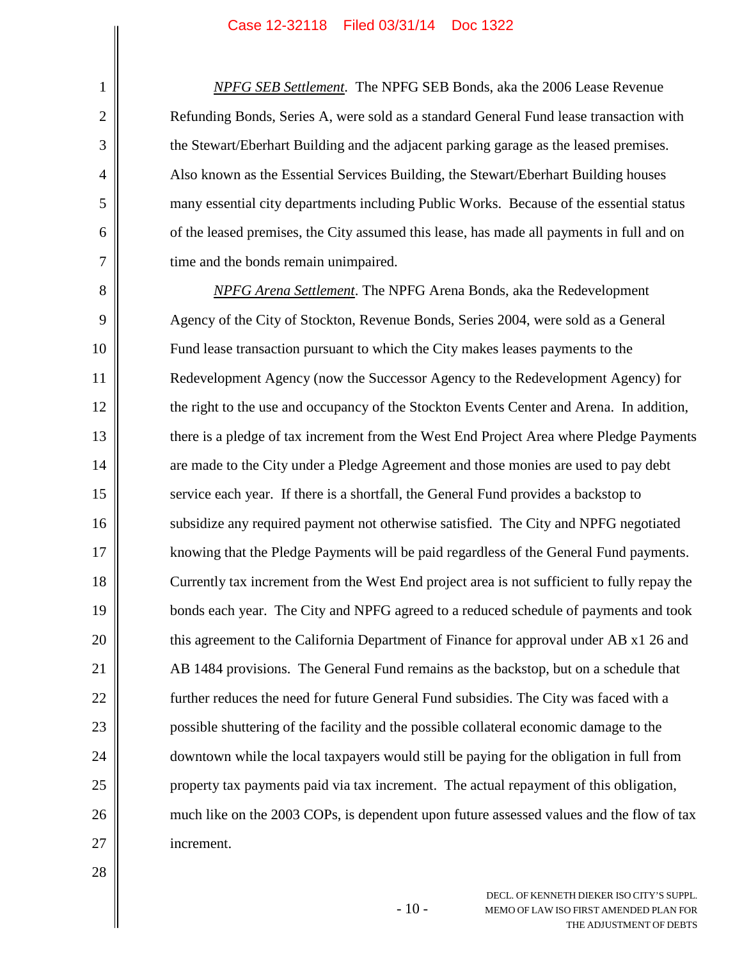*NPFG SEB Settlement*. The NPFG SEB Bonds, aka the 2006 Lease Revenue Refunding Bonds, Series A, were sold as a standard General Fund lease transaction with the Stewart/Eberhart Building and the adjacent parking garage as the leased premises. Also known as the Essential Services Building, the Stewart/Eberhart Building houses many essential city departments including Public Works. Because of the essential status of the leased premises, the City assumed this lease, has made all payments in full and on time and the bonds remain unimpaired.

8 9 10 11 12 13 14 15 16 17 18 19 20 21 22 23 24 25 26 27 *NPFG Arena Settlement*. The NPFG Arena Bonds, aka the Redevelopment Agency of the City of Stockton, Revenue Bonds, Series 2004, were sold as a General Fund lease transaction pursuant to which the City makes leases payments to the Redevelopment Agency (now the Successor Agency to the Redevelopment Agency) for the right to the use and occupancy of the Stockton Events Center and Arena. In addition, there is a pledge of tax increment from the West End Project Area where Pledge Payments are made to the City under a Pledge Agreement and those monies are used to pay debt service each year. If there is a shortfall, the General Fund provides a backstop to subsidize any required payment not otherwise satisfied. The City and NPFG negotiated knowing that the Pledge Payments will be paid regardless of the General Fund payments. Currently tax increment from the West End project area is not sufficient to fully repay the bonds each year. The City and NPFG agreed to a reduced schedule of payments and took this agreement to the California Department of Finance for approval under AB x1 26 and AB 1484 provisions. The General Fund remains as the backstop, but on a schedule that further reduces the need for future General Fund subsidies. The City was faced with a possible shuttering of the facility and the possible collateral economic damage to the downtown while the local taxpayers would still be paying for the obligation in full from property tax payments paid via tax increment. The actual repayment of this obligation, much like on the 2003 COPs, is dependent upon future assessed values and the flow of tax increment.

1

2

3

4

5

6

7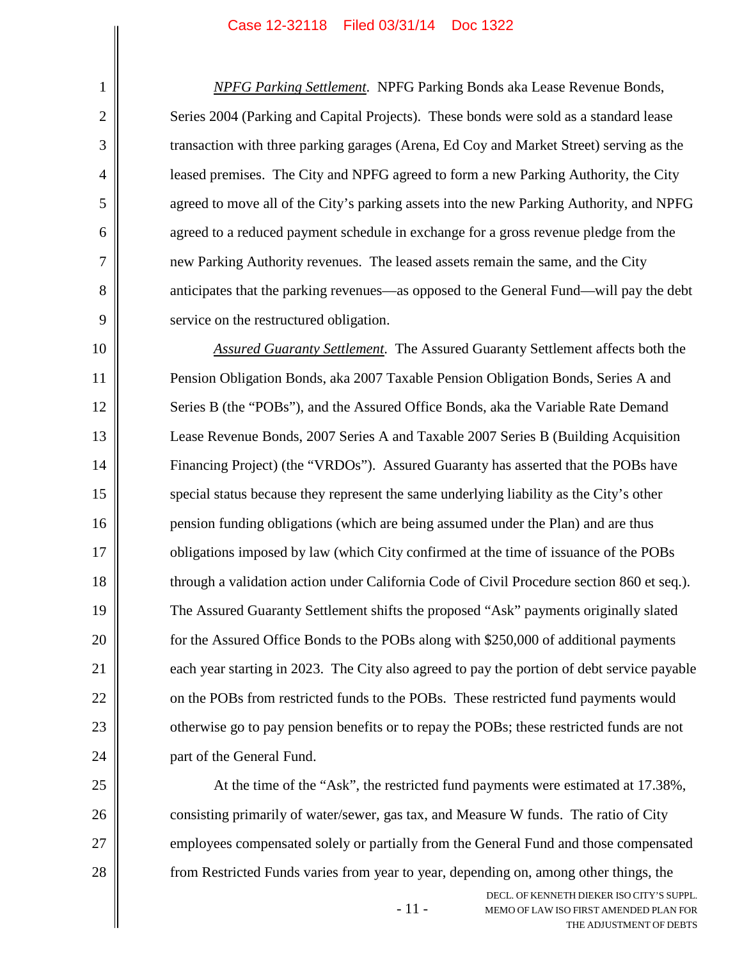1

2

3

4

5

6

7

8

9

25

26

27

28

*NPFG Parking Settlement*. NPFG Parking Bonds aka Lease Revenue Bonds, Series 2004 (Parking and Capital Projects). These bonds were sold as a standard lease transaction with three parking garages (Arena, Ed Coy and Market Street) serving as the leased premises. The City and NPFG agreed to form a new Parking Authority, the City agreed to move all of the City's parking assets into the new Parking Authority, and NPFG agreed to a reduced payment schedule in exchange for a gross revenue pledge from the new Parking Authority revenues. The leased assets remain the same, and the City anticipates that the parking revenues—as opposed to the General Fund—will pay the debt service on the restructured obligation.

10 11 12 13 14 15 16 17 18 19 20 21 22 23 24 *Assured Guaranty Settlement*. The Assured Guaranty Settlement affects both the Pension Obligation Bonds, aka 2007 Taxable Pension Obligation Bonds, Series A and Series B (the "POBs"), and the Assured Office Bonds, aka the Variable Rate Demand Lease Revenue Bonds, 2007 Series A and Taxable 2007 Series B (Building Acquisition Financing Project) (the "VRDOs"). Assured Guaranty has asserted that the POBs have special status because they represent the same underlying liability as the City's other pension funding obligations (which are being assumed under the Plan) and are thus obligations imposed by law (which City confirmed at the time of issuance of the POBs through a validation action under California Code of Civil Procedure section 860 et seq.). The Assured Guaranty Settlement shifts the proposed "Ask" payments originally slated for the Assured Office Bonds to the POBs along with \$250,000 of additional payments each year starting in 2023. The City also agreed to pay the portion of debt service payable on the POBs from restricted funds to the POBs. These restricted fund payments would otherwise go to pay pension benefits or to repay the POBs; these restricted funds are not part of the General Fund.

At the time of the "Ask", the restricted fund payments were estimated at 17.38%, consisting primarily of water/sewer, gas tax, and Measure W funds. The ratio of City employees compensated solely or partially from the General Fund and those compensated from Restricted Funds varies from year to year, depending on, among other things, the

- 11 -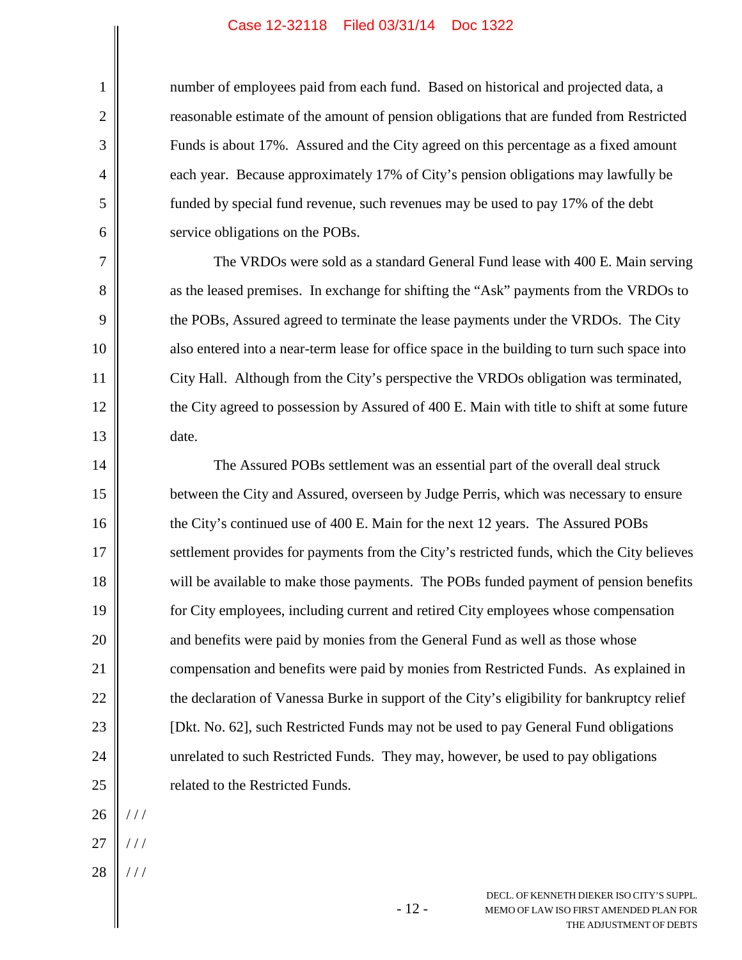number of employees paid from each fund. Based on historical and projected data, a reasonable estimate of the amount of pension obligations that are funded from Restricted Funds is about 17%. Assured and the City agreed on this percentage as a fixed amount each year. Because approximately 17% of City's pension obligations may lawfully be funded by special fund revenue, such revenues may be used to pay 17% of the debt service obligations on the POBs.

The VRDOs were sold as a standard General Fund lease with 400 E. Main serving as the leased premises. In exchange for shifting the "Ask" payments from the VRDOs to the POBs, Assured agreed to terminate the lease payments under the VRDOs. The City also entered into a near-term lease for office space in the building to turn such space into City Hall. Although from the City's perspective the VRDOs obligation was terminated, the City agreed to possession by Assured of 400 E. Main with title to shift at some future date.

14 15 16 17 18 19 20 21 22 23 24 25 The Assured POBs settlement was an essential part of the overall deal struck between the City and Assured, overseen by Judge Perris, which was necessary to ensure the City's continued use of 400 E. Main for the next 12 years. The Assured POBs settlement provides for payments from the City's restricted funds, which the City believes will be available to make those payments. The POBs funded payment of pension benefits for City employees, including current and retired City employees whose compensation and benefits were paid by monies from the General Fund as well as those whose compensation and benefits were paid by monies from Restricted Funds. As explained in the declaration of Vanessa Burke in support of the City's eligibility for bankruptcy relief [Dkt. No. 62], such Restricted Funds may not be used to pay General Fund obligations unrelated to such Restricted Funds. They may, however, be used to pay obligations related to the Restricted Funds.

- 12 -

26 / / /

1

2

3

4

5

6

7

8

9

10

11

12

13

- 27 / / /
- 28 / / /